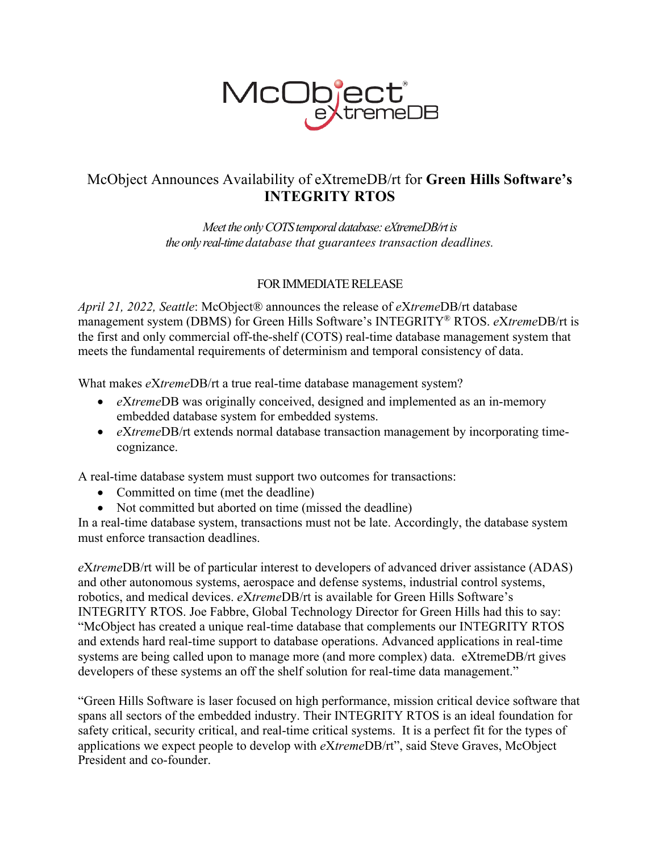

## McObject Announces Availability of eXtremeDB/rt for **Green Hills Software's INTEGRITY RTOS**

*Meet the only COTS temporal database: eXtremeDB/rt is the only real-time database that guarantees transaction deadlines.*

## FOR IMMEDIATE RELEASE

*April 21, 2022, Seattle*: McObject® announces the release of *e*X*treme*DB/rt database management system (DBMS) for Green Hills Software's INTEGRITY® RTOS. *e*X*treme*DB/rt is the first and only commercial off-the-shelf (COTS) real-time database management system that meets the fundamental requirements of determinism and temporal consistency of data.

What makes *e*X*treme*DB/rt a true real-time database management system?

- *e*X*treme*DB was originally conceived, designed and implemented as an in-memory embedded database system for embedded systems.
- *e*X*treme*DB/rt extends normal database transaction management by incorporating timecognizance.

A real-time database system must support two outcomes for transactions:

- Committed on time (met the deadline)
- Not committed but aborted on time (missed the deadline)

In a real-time database system, transactions must not be late. Accordingly, the database system must enforce transaction deadlines.

*e*X*treme*DB/rt will be of particular interest to developers of advanced driver assistance (ADAS) and other autonomous systems, aerospace and defense systems, industrial control systems, robotics, and medical devices. *e*X*treme*DB/rt is available for Green Hills Software's INTEGRITY RTOS. Joe Fabbre, Global Technology Director for Green Hills had this to say: "McObject has created a unique real-time database that complements our INTEGRITY RTOS and extends hard real-time support to database operations. Advanced applications in real-time systems are being called upon to manage more (and more complex) data. eXtremeDB/rt gives developers of these systems an off the shelf solution for real-time data management."

"Green Hills Software is laser focused on high performance, mission critical device software that spans all sectors of the embedded industry. Their INTEGRITY RTOS is an ideal foundation for safety critical, security critical, and real-time critical systems. It is a perfect fit for the types of applications we expect people to develop with *e*X*treme*DB/rt", said Steve Graves, McObject President and co-founder.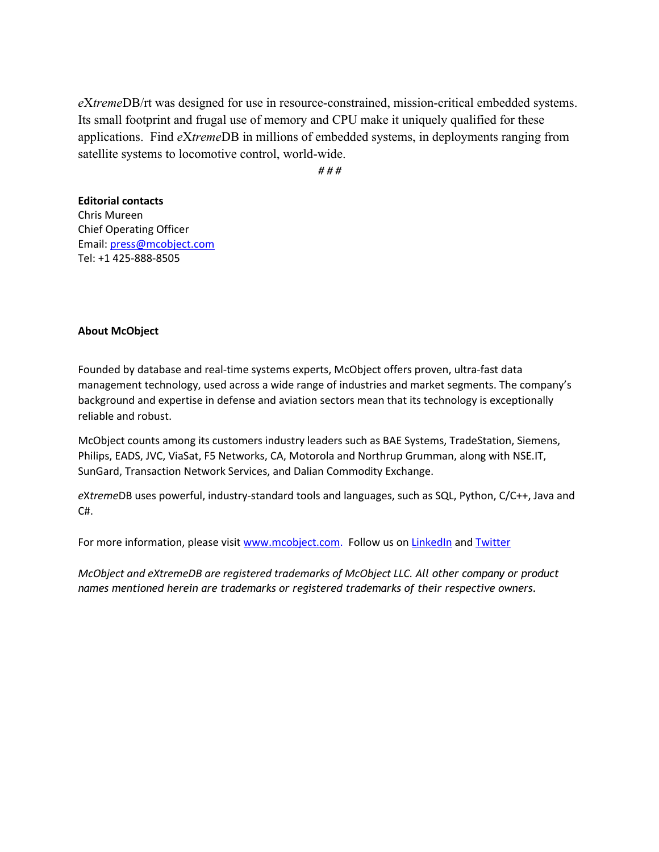*e*X*treme*DB/rt was designed for use in resource-constrained, mission-critical embedded systems. Its small footprint and frugal use of memory and CPU make it uniquely qualified for these applications. Find *e*X*treme*DB in millions of embedded systems, in deployments ranging from satellite systems to locomotive control, world-wide.

*# # #*

## **Editorial contacts** Chris Mureen

Chief Operating Officer Email: press@mcobject.com Tel: +1 425-888-8505

## **About McObject**

Founded by database and real-time systems experts, McObject offers proven, ultra-fast data management technology, used across a wide range of industries and market segments. The company's background and expertise in defense and aviation sectors mean that its technology is exceptionally reliable and robust.

McObject counts among its customers industry leaders such as BAE Systems, TradeStation, Siemens, Philips, EADS, JVC, ViaSat, F5 Networks, CA, Motorola and Northrup Grumman, along with NSE.IT, SunGard, Transaction Network Services, and Dalian Commodity Exchange.

*e*X*treme*DB uses powerful, industry-standard tools and languages, such as SQL, Python, C/C++, Java and  $C#$ .

For more information, please visit www.mcobject.com. Follow us on LinkedIn and Twitter

*McObject and eXtremeDB are registered trademarks of McObject LLC. All other company or product names mentioned herein are trademarks or registered trademarks of their respective owners.*